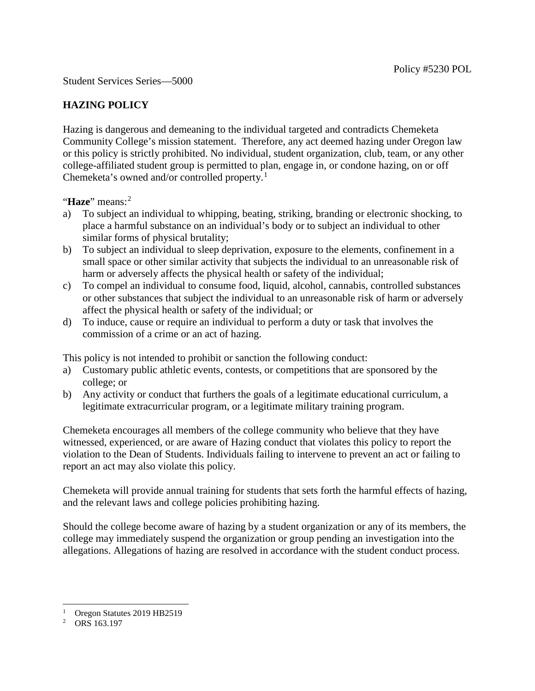Student Services Series—5000

## **HAZING POLICY**

Hazing is dangerous and demeaning to the individual targeted and contradicts Chemeketa Community College's mission statement. Therefore, any act deemed hazing under Oregon law or this policy is strictly prohibited. No individual, student organization, club, team, or any other college-affiliated student group is permitted to plan, engage in, or condone hazing, on or off Chemeketa's owned and/or controlled property.[1](#page-0-0)

"**Haze**" means:<sup>[2](#page-0-1)</sup>

- a) To subject an individual to whipping, beating, striking, branding or electronic shocking, to place a harmful substance on an individual's body or to subject an individual to other similar forms of physical brutality;
- b) To subject an individual to sleep deprivation, exposure to the elements, confinement in a small space or other similar activity that subjects the individual to an unreasonable risk of harm or adversely affects the physical health or safety of the individual;
- c) To compel an individual to consume food, liquid, alcohol, cannabis, controlled substances or other substances that subject the individual to an unreasonable risk of harm or adversely affect the physical health or safety of the individual; or
- d) To induce, cause or require an individual to perform a duty or task that involves the commission of a crime or an act of hazing.

This policy is not intended to prohibit or sanction the following conduct:

- a) Customary public athletic events, contests, or competitions that are sponsored by the college; or
- b) Any activity or conduct that furthers the goals of a legitimate educational curriculum, a legitimate extracurricular program, or a legitimate military training program.

Chemeketa encourages all members of the college community who believe that they have witnessed, experienced, or are aware of Hazing conduct that violates this policy to report the violation to the Dean of Students. Individuals failing to intervene to prevent an act or failing to report an act may also violate this policy.

Chemeketa will provide annual training for students that sets forth the harmful effects of hazing, and the relevant laws and college policies prohibiting hazing.

Should the college become aware of hazing by a student organization or any of its members, the college may immediately suspend the organization or group pending an investigation into the allegations. Allegations of hazing are resolved in accordance with the student conduct process.

-

<span id="page-0-0"></span> $\frac{1}{2}$  Oregon Statutes 2019 HB2519

<span id="page-0-1"></span>ORS 163.197